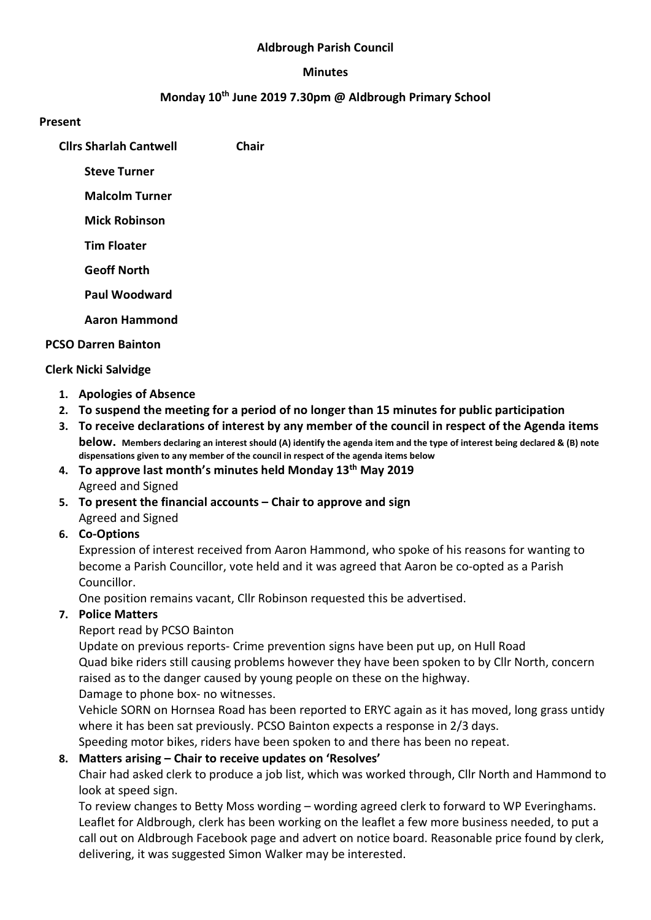#### Aldbrough Parish Council

#### Minutes

#### Monday 10th June 2019 7.30pm @ Aldbrough Primary School

#### Present

Cllrs Sharlah Cantwell Chair

Steve Turner

Malcolm Turner

Mick Robinson

Tim Floater

Geoff North

Paul Woodward

Aaron Hammond

#### PCSO Darren Bainton

## Clerk Nicki Salvidge

- 1. Apologies of Absence
- 2. To suspend the meeting for a period of no longer than 15 minutes for public participation
- 3. To receive declarations of interest by any member of the council in respect of the Agenda items below. Members declaring an interest should (A) identify the agenda item and the type of interest being declared & (B) note dispensations given to any member of the council in respect of the agenda items below
- 4. To approve last month's minutes held Monday 13<sup>th</sup> May 2019 Agreed and Signed
- 5. To present the financial accounts Chair to approve and sign Agreed and Signed

## 6. Co-Options

Expression of interest received from Aaron Hammond, who spoke of his reasons for wanting to become a Parish Councillor, vote held and it was agreed that Aaron be co-opted as a Parish Councillor.

One position remains vacant, Cllr Robinson requested this be advertised.

## 7. Police Matters

Report read by PCSO Bainton

Update on previous reports- Crime prevention signs have been put up, on Hull Road Quad bike riders still causing problems however they have been spoken to by Cllr North, concern raised as to the danger caused by young people on these on the highway.

Damage to phone box- no witnesses.

Vehicle SORN on Hornsea Road has been reported to ERYC again as it has moved, long grass untidy where it has been sat previously. PCSO Bainton expects a response in 2/3 days.

Speeding motor bikes, riders have been spoken to and there has been no repeat.

## 8. Matters arising – Chair to receive updates on 'Resolves'

Chair had asked clerk to produce a job list, which was worked through, Cllr North and Hammond to look at speed sign.

To review changes to Betty Moss wording – wording agreed clerk to forward to WP Everinghams. Leaflet for Aldbrough, clerk has been working on the leaflet a few more business needed, to put a call out on Aldbrough Facebook page and advert on notice board. Reasonable price found by clerk, delivering, it was suggested Simon Walker may be interested.